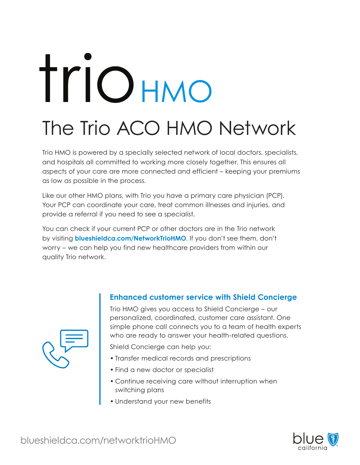# Triohmo

## The Trio ACO HMO Network

Trio HMO is powered by a specially selected network of local doctors, specialists, and hospitals all committed to working more closely together. This ensures all aspects of your care are more connected and efficient – keeping your premiums as low as possible in the process.

Like our other HMO plans, with Trio you have a primary care physician (PCP). Your PCP can coordinate your care, treat common illnesses and injuries, and provide a referral if you need to see a specialist.

You can check if your current PCP or other doctors are in the Trio network by visiting **blueshieldca.com/NetworkTrioHMO**. If you don't see them, don't worry – we can help you find new healthcare providers from within our quality Trio network.



Trio HMO gives you access to Shield Concierge – our personalized, coordinated, customer care assistant. One simple phone call connects you to a team of health experts who are ready to answer your health-related questions.

Shield Concierge can help you:

- Transfer medical records and prescriptions
- Find a new doctor or specialist
- Continue receiving care without interruption when switching plans
- Understand your new benefits



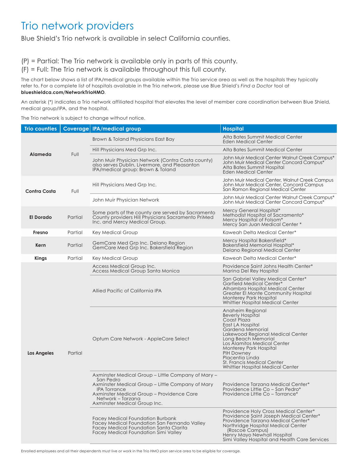### Trio network providers

Blue Shield's Trio network is available in select California counties.

(P) = Partial: The Trio network is available only in parts of this county.

(F) = Full: The Trio network is available throughout this full county.

The chart below shows a list of IPA/medical groups available within the Trio service area as well as the hospitals they typically refer to. For a complete list of hospitals available in the Trio network, please use Blue Shield's *Find a Doctor* tool at **blueshieldca.com/NetworkTrioHMO**.

An asterisk (\*) indicates a Trio network affiliated hospital that elevates the level of member care coordination between Blue Shield, medical group/IPA, and the hospital.

The Trio network is subject to change without notice.

| <b>Trio counties</b> |         | Coverage   IPA/medical group                                                                                                                                                                                                          | <b>Hospital</b>                                                                                                                                                                                                                                                                                                                  |
|----------------------|---------|---------------------------------------------------------------------------------------------------------------------------------------------------------------------------------------------------------------------------------------|----------------------------------------------------------------------------------------------------------------------------------------------------------------------------------------------------------------------------------------------------------------------------------------------------------------------------------|
| Alameda              | Full    | Brown & Toland Physicians East Bay                                                                                                                                                                                                    | Alta Bates Summit Medical Center<br>Eden Medical Center                                                                                                                                                                                                                                                                          |
|                      |         | Hill Physicians Med Grp Inc.                                                                                                                                                                                                          | Alta Bates Summit Medical Center                                                                                                                                                                                                                                                                                                 |
|                      |         | John Muir Physician Network (Contra Costa county)<br>also serves Dublin, Livermore, and Pleasanton<br>IPA/medical group: Brown & Toland                                                                                               | John Muir Medical Center Walnut Creek Campus*<br>John Muir Medical Center Concord Campus*<br>Alta Bates Summit Hospital<br><b>Eden Medical Center</b>                                                                                                                                                                            |
| <b>Contra Costa</b>  | Full    | Hill Physicians Med Grp Inc.                                                                                                                                                                                                          | John Muir Medical Center, Walnut Creek Campus<br>John Muir Medical Center, Concord Campus<br>San Ramon Regional Medical Center                                                                                                                                                                                                   |
|                      |         | John Muir Physician Network                                                                                                                                                                                                           | John Muir Medical Center Walnut Creek Campus*<br>John Muir Medical Center Concord Campus*                                                                                                                                                                                                                                        |
| <b>El Dorado</b>     | Partial | Some parts of the county are served by Sacramento<br>County providers Hill Physicians Sacramento PriMed<br>Inc. and Mercy Medical Group.                                                                                              | Mercy General Hospital*<br>Methodist Hospital of Sacramento*<br>Mercy Hospital of Folsom*<br>Mercy San Juan Medical Center *                                                                                                                                                                                                     |
| Fresno               | Partial | Key Medical Group                                                                                                                                                                                                                     | Kaweah Delta Medical Center*                                                                                                                                                                                                                                                                                                     |
| Kern                 | Partial | GemCare Med Grp Inc. Delano Region<br>GemCare Med Grp Inc. Bakersfield Region                                                                                                                                                         | Mercy Hospital Bakersfield*<br>Bakersfield Memorial Hospital*<br>Delano Regional Medical Center                                                                                                                                                                                                                                  |
| <b>Kings</b>         | Partial | <b>Key Medical Group</b>                                                                                                                                                                                                              | Kaweah Delta Medical Center*                                                                                                                                                                                                                                                                                                     |
| Los Angeles          | Partial | Access Medical Group Inc.<br><b>Access Medical Group Santa Monica</b>                                                                                                                                                                 | Providence Saint Johns Health Center*<br>Marina Del Rey Hospital                                                                                                                                                                                                                                                                 |
|                      |         | Allied Pacific of California IPA                                                                                                                                                                                                      | San Gabriel Valley Medical Center*<br><b>Garfield Medical Center*</b><br>Alhambra Hospital Medical Center<br>Greater El Monte Community Hospital<br><b>Monterey Park Hospital</b><br>Whittier Hospital Medical Center                                                                                                            |
|                      |         | Optum Care Network - AppleCare Select                                                                                                                                                                                                 | Anaheim Regional<br><b>Beverly Hospital</b><br>Coast Plaza<br>East LA Hospital<br>Gardena Memorial<br>Lakewood Regional Medical Center<br>Long Beach Memorial<br>Los Alamitos Medical Center<br>Monterey Park Hospital<br>PIH Downey<br>Placentia Linda<br><b>St. Francis Medical Center</b><br>Whittier Hospital Medical Center |
|                      |         | Axminster Medical Group – Little Company of Mary –<br>San Pedro<br>Axminster Medical Group - Little Company of Mary<br>IPA Torrance<br>Axminster Medical Group - Providence Care<br>Network – Tarzana<br>Axminster Medical Group Inc. | Providence Tarzana Medical Center*<br>Providence Little Co – San Pedro*<br>Providence Little Co - Torrance*                                                                                                                                                                                                                      |
|                      |         | <b>Facey Medical Foundation Burbank</b><br>Facey Medical Foundation San Fernando Valley<br>Facey Medical Foundation Santa Clarita<br>Facey Medical Foundation Simi Valley                                                             | Providence Holy Cross Medical Center*<br>Providence Saint Joseph Medical Center*<br>Providence Tarzana Medical Center*<br>Northridge Hospital Medical Center<br>(Roscoe Campus)<br>Henry Mayo Newhall Hospital<br>Simi Valley Hospital and Health Care Services                                                                  |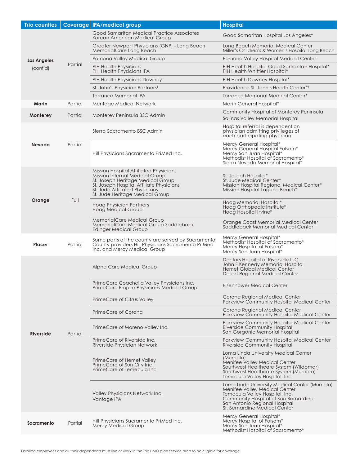| <b>Trio counties</b>    |         | Coverage IPA/medical group                                                                                                                                                                                                     | <b>Hospital</b>                                                                                                                                                                                                              |
|-------------------------|---------|--------------------------------------------------------------------------------------------------------------------------------------------------------------------------------------------------------------------------------|------------------------------------------------------------------------------------------------------------------------------------------------------------------------------------------------------------------------------|
|                         | Partial | Good Samaritan Medical Practice Associates<br>Korean American Medical Group                                                                                                                                                    | Good Samaritan Hospital Los Angeles*                                                                                                                                                                                         |
| Los Angeles<br>(cont'd) |         | Greater Newport Physicians (GNP) - Long Beach<br>MemorialCare Long Beach                                                                                                                                                       | Long Beach Memorial Medical Center<br>Miller's Children's & Women's Hospital Long Beach                                                                                                                                      |
|                         |         | Pomona Valley Medical Group                                                                                                                                                                                                    | Pomona Valley Hospital Medical Center                                                                                                                                                                                        |
|                         |         | <b>PIH Health Physicians</b><br>PIH Health Physicians IPA                                                                                                                                                                      | PIH Health Hospital Good Samaritan Hospital*<br>PIH Health Whittier Hospital*                                                                                                                                                |
|                         |         | PIH Health Physicians Downey                                                                                                                                                                                                   | PIH Health Downey Hospital*                                                                                                                                                                                                  |
|                         |         | St. John's Physician Partners <sup>t</sup>                                                                                                                                                                                     | Providence St. John's Health Center* <sup>†</sup>                                                                                                                                                                            |
|                         |         | Torrance Memorial IPA                                                                                                                                                                                                          | Torrance Memorial Medical Center*                                                                                                                                                                                            |
| Marin                   | Partial | Meritage Medical Network                                                                                                                                                                                                       | Marin General Hospital*                                                                                                                                                                                                      |
| Monterey                | Partial | Monterey Peninsula BSC Admin                                                                                                                                                                                                   | Community Hospital of Monterey Peninsula<br>Salinas Valley Memorial Hospital                                                                                                                                                 |
| Nevada                  | Partial | Sierra Sacramento BSC Admin                                                                                                                                                                                                    | Hospital referral is dependent on<br>physician admitting privileges of<br>each participating physician                                                                                                                       |
|                         |         | Hill Physicians Sacramento PriMed Inc.                                                                                                                                                                                         | Mercy General Hospital*<br>Mercy General Hospital Folsom*<br>Mercy San Juan Hospital*<br>Methodist Hospital of Sacramento*<br>Sierra Nevada Memorial Hospital*                                                               |
| Orange                  | Full    | Mission Hospital Affiliated Physicians<br>Mission Internal Medical Group<br>St. Joseph Heritage Medical Group<br>St. Joseph Hospital Affiliate Physicians<br>St. Jude Affiliated Physicians<br>St. Jude Heritage Medical Group | St. Joseph Hospital*<br>St. Jude Medical Center*<br>Mission Hospital Regional Medical Center*<br>Mission Hospital Laguna Beach*                                                                                              |
|                         |         | Hoag Physician Partners<br>Hoag Medical Group                                                                                                                                                                                  | Hoag Memorial Hospital*<br>Hoag Orthopedic Institute*<br>Hoag Hospital Irvine*                                                                                                                                               |
|                         |         | MemorialCare Medical Group<br>MemorialCare Medical Group Saddleback<br><b>Edinger Medical Group</b>                                                                                                                            | Orange Coast Memorial Medical Center<br>Saddleback Memorial Medical Center                                                                                                                                                   |
| <b>Placer</b>           | Partial | Some parts of the county are served by Sacramento<br>County providers Hill Physicians Sacramento PriMed<br>Inc. and Mercy Medical Group                                                                                        | Mercy General Hospital*<br>Methodist Hospital of Sacramento*<br>Mercy Hospital of Folsom*<br>Mercy San Juan Hospital*                                                                                                        |
|                         | Partial | Alpha Care Medical Group                                                                                                                                                                                                       | Doctors Hospital of Riverside LLC<br>John F Kennedy Memorial Hospital<br>Hemet Global Medical Center<br>Desert Regional Medical Center                                                                                       |
|                         |         | PrimeCare Coachella Valley Physicians Inc.<br>PrimeCare Empire Physicians Medical Group                                                                                                                                        | Eisenhower Medical Center                                                                                                                                                                                                    |
|                         |         | PrimeCare of Citrus Valley                                                                                                                                                                                                     | Corona Regional Medical Center<br>Parkview Community Hospital Medical Center                                                                                                                                                 |
| Riverside               |         | PrimeCare of Corona                                                                                                                                                                                                            | Corona Regional Medical Center<br>Parkview Community Hospital Medical Center                                                                                                                                                 |
|                         |         | PrimeCare of Moreno Valley Inc.                                                                                                                                                                                                | Parkview Community Hospital Medical Center<br>Riverside Community Hospital<br>San Gorgonio Memorial Hospital                                                                                                                 |
|                         |         | PrimeCare of Riverside Inc.<br>Riverside Physician Network                                                                                                                                                                     | Parkview Community Hospital Medical Center<br>Riverside Community Hospital                                                                                                                                                   |
|                         |         | PrimeCare of Hemet Valley<br>PrimeCare of Sun City Inc.<br>PrimeCare of Temecula Inc.                                                                                                                                          | Loma Linda University Medical Center<br>(Murrieta)<br>Menifee Valley Medical Center<br>Southwest Healthcare System (Wildomar)<br>Southwest Healthcare System (Murrieta)<br>Temecula Valley Hospital, Inc.                    |
|                         |         | Valley Physicians Network Inc.<br>Vantage IPA                                                                                                                                                                                  | Loma Linda University Medical Center (Murrieta)<br>Menifee Valley Medical Center<br>Temecula Valley Hospital, Inc.<br>Community Hospital of San Bernardino<br>San Antonio Regional Hospital<br>St. Bernardine Medical Center |
| Sacramento              | Partial | Hill Physicians Sacramento PriMed Inc.<br>Mercy Medical Group                                                                                                                                                                  | Mercy General Hospital*<br>Mercy Hospital of Folsom*<br>Mercy San Juan Hospital*<br>Methodist Hospital of Sacramento*                                                                                                        |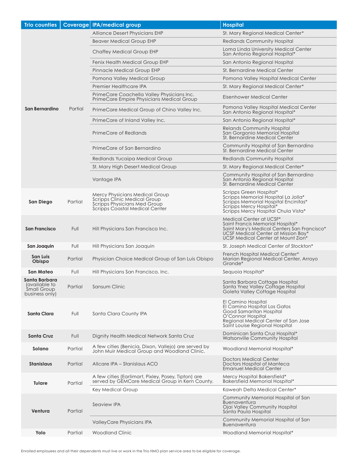| <b>Trio counties</b>                                            |         | Coverage IPA/medical group                                                                                                       | <b>Hospital</b>                                                                                                                                                                         |
|-----------------------------------------------------------------|---------|----------------------------------------------------------------------------------------------------------------------------------|-----------------------------------------------------------------------------------------------------------------------------------------------------------------------------------------|
| San Bernardino                                                  | Partial | Alliance Desert Physicians EHP                                                                                                   | St. Mary Regional Medical Center*                                                                                                                                                       |
|                                                                 |         | <b>Beaver Medical Group EHP</b>                                                                                                  | <b>Redlands Community Hospital</b>                                                                                                                                                      |
|                                                                 |         | Chaffey Medical Group EHP                                                                                                        | Loma Linda University Medical Center<br>San Antonio Regional Hospital*                                                                                                                  |
|                                                                 |         | Fenix Health Medical Group EHP                                                                                                   | San Antonio Regional Hospital                                                                                                                                                           |
|                                                                 |         | Pinnacle Medical Group EHP                                                                                                       | St. Bernardine Medical Center                                                                                                                                                           |
|                                                                 |         | Pomona Valley Medical Group                                                                                                      | Pomona Valley Hospital Medical Center                                                                                                                                                   |
|                                                                 |         | Premier Healthcare IPA                                                                                                           | St. Mary Regional Medical Center*                                                                                                                                                       |
|                                                                 |         | PrimeCare Coachella Valley Physicians Inc.<br>PrimeCare Empire Physicians Medical Group                                          | Eisenhower Medical Center                                                                                                                                                               |
|                                                                 |         | PrimeCare Medical Group of Chino Valley Inc.                                                                                     | Pomona Valley Hospital Medical Center<br>San Antonio Regional Hospital*                                                                                                                 |
|                                                                 |         | PrimeCare of Inland Valley Inc.                                                                                                  | San Antonio Regional Hospital*                                                                                                                                                          |
|                                                                 |         | PrimeCare of Redlands                                                                                                            | <b>Relands Community Hospital</b><br>San Gorgonio Memorial Hospital<br>St. Bernardine Medical Center                                                                                    |
|                                                                 |         | PrimeCare of San Bernardino                                                                                                      | Community Hospital of San Bernardino<br>St. Bernardine Medical Center                                                                                                                   |
|                                                                 |         | Redlands Yucaipa Medical Group                                                                                                   | <b>Redlands Community Hospital</b>                                                                                                                                                      |
|                                                                 |         | St. Mary High Desert Medical Group                                                                                               | St. Mary Regional Medical Center*                                                                                                                                                       |
|                                                                 |         | Vantage IPA                                                                                                                      | Community Hospital of San Bernardino<br>San Antonio Regional Hospital<br>St. Bernardine Medical Center                                                                                  |
| San Diego                                                       | Partial | Mercy Physicians Medical Group<br>Scripps Clinic Medical Group<br>Scripps Physicians Med Group<br>Scripps Coastal Medical Center | Scripps Green Hospital*<br>Scripps Memorial Hospital La Jolla*<br>Scripps Memorial Hospital Encinitas*<br>Scripps Mercy Hospital*<br>Scripps Mercy Hospital Chula Vista*                |
| <b>San Francisco</b>                                            | Full    | Hill Physicians San Francisco Inc.                                                                                               | Medical Center at UCSF*<br>Saint Francis Memorial Hospital*<br>Saint Mary's Medical Centers San Francisco*<br>UCSF Medical Center at Mission Bay*<br>UCSF Medical Center at Mount Zion* |
| San Joaquin                                                     | Full    | Hill Physicians San Joaquin                                                                                                      | St. Joseph Medical Center of Stockton*                                                                                                                                                  |
| San Luis<br>Obispo                                              | Partial | Physician Choice Medical Group of San Luis Obispo                                                                                | French Hospital Medical Center*<br>Marian Regional Medical Center, Arroyo<br>Grande*                                                                                                    |
| <b>San Mateo</b>                                                | Full    | Hill Physicians San Francisco, Inc.                                                                                              | Sequoia Hospital*                                                                                                                                                                       |
| Santa Barbara<br>(available to<br>Small Group<br>business only) | Partial | Sansum Clinic                                                                                                                    | Santa Barbara Cottage Hospital<br>Santa Ynez Valley Cottage Hospital<br>Goleta Valley Cottage Hospital                                                                                  |
| Santa Clara                                                     | Full    | Santa Clara County IPA                                                                                                           | El Camino Hospital<br>El Camino Hospital Los Gatos<br>Good Samaritan Hospital<br>O'Connor Hospital<br>Regional Medical Center of San Jose<br>Saint Louise Regional Hospital             |
| Santa Cruz                                                      | Full    | Dignity Health Medical Network Santa Cruz                                                                                        | Dominican Santa Cruz Hospital*<br>Watsonville Community Hospital                                                                                                                        |
| Solano                                                          | Partial | A few cities (Benicia, Dixon, Vallejo) are served by<br>John Muir Medical Group and Woodland Clinic.                             | Woodland Memorial Hospital*                                                                                                                                                             |
| <b>Stanislaus</b>                                               | Partial | Allcare IPA - Stanislaus ACO                                                                                                     | Doctors Medical Center<br>Doctors Hospital of Manteca<br><b>Emanuel Medical Center</b>                                                                                                  |
| <b>Tulare</b>                                                   | Partial | A few cities (Earlimart, Pixley, Posey, Tipton) are<br>served by GEMCare Medical Group in Kern County.                           | Mercy Hospital Bakersfield*<br>Bakersfield Memorial Hospital*                                                                                                                           |
|                                                                 |         | Key Medical Group                                                                                                                | Kaweah Delta Medical Center*                                                                                                                                                            |
| Ventura                                                         | Partial | Seaview IPA                                                                                                                      | Community Memorial Hospital of San<br><b>Buenaventura</b><br>Ojai Valley Community Hospital<br>Santa Paula Hospital                                                                     |
|                                                                 |         | ValleyCare Physicians IPA                                                                                                        | Community Memorial Hospital of San<br><b>Buenaventura</b>                                                                                                                               |
| Yolo                                                            | Partial | Woodland Clinic                                                                                                                  | Woodland Memorial Hospital*                                                                                                                                                             |

Enrolled employees and all their dependents must live or work in the Trio HMO plan service area to be eligible for coverage.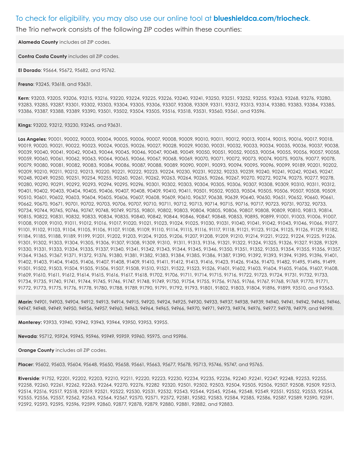#### To check for eligibility, you may also use our online tool at **blueshieldca.com/triocheck**.

The Trio network consists of the following ZIP codes within these counties:

**Alameda County** includes all ZIP codes.

**Contra Costa County** includes all ZIP codes.

**El Dorado**: 95664, 95672, 95682, and 95762.

**Fresno**: 93245, 93618, and 93631.

**Kern**: 93203, 93205, 93206, 93215, 93216, 93220, 93224, 93225, 93226, 93240, 93241, 93250, 93251, 93252, 93255, 93263, 93268, 93276, 93280, 93283, 93285, 93287, 93301, 93302, 93303, 93304, 93305, 93306, 93307, 93308, 93309, 93311, 93312, 93313, 93314, 93380, 93383, 93384, 93385, 93386, 93387, 93388, 93389, 93390, 93501, 93502, 93504, 93505, 93516, 93518, 93531, 93560, 93561, and 93596.

**Kings:** 93202, 93212, 93230, 93245, and 93631.

**Los Angeles**: 90001, 90002, 90003, 90004, 90005, 90006, 90007, 90008, 90009, 90010, 90011, 90012, 90013, 90014, 90015, 90016, 90017, 90018, 90019, 90020, 90021, 90022, 90023, 90024, 90025, 90026, 90027, 90028, 90029, 90030, 90031, 90032, 90033, 90034, 90035, 90036, 90037, 90038, 90039, 90040, 90041, 90042, 90043, 90044, 90045, 90046, 90047, 90048, 90049, 90050, 90051, 90052, 90053, 90054, 90055, 90056, 90057, 90058, 90059, 90060, 90061, 90062, 90063, 90064, 90065, 90066, 90067, 90068, 90069, 90070, 90071, 90072, 90073, 90074, 90075, 90076, 90077, 90078, 90079, 90080, 90081, 90082, 90083, 90084, 90086, 90087, 90088, 90089, 90090, 90091, 90093, 90094, 90095, 90096, 90099, 90189, 90201, 90202, 90209, 90210, 90211, 90212, 90213, 90220, 90221, 90222, 90223, 90224, 90230, 90231, 90232, 90233, 90239, 90240, 90241, 90242, 90245, 90247, 90248, 90249, 90250, 90251, 90254, 90255, 90260, 90261, 90262, 90263, 90264, 90265, 90266, 90267, 90270, 90272, 90274, 90275, 90277, 90278, 90280, 90290, 90291, 90292, 90293, 90294, 90295, 90296, 90301, 90302, 90303, 90304, 90305, 90306, 90307, 90308, 90309, 90310, 90311, 90312, 90401, 90402, 90403, 90404, 90405, 90406, 90407, 90408, 90409, 90410, 90411, 90501, 90502, 90503, 90504, 90505, 90506, 90507, 90508, 90509, 90510, 90601, 90602, 90603, 90604, 90605, 90606, 90607, 90608, 90609, 90610, 90637, 90638, 90639, 90640, 90650, 90651, 90652, 90660, 90661, 90662, 90670, 90671, 90701, 90702, 90703, 90706, 90707, 90710, 90711, 90712, 90713, 90714, 90715, 90716, 90717, 90723, 90731, 90732, 90733, 90734, 90744, 90745, 90746, 90747, 90748, 90749, 90755, 90801, 90802, 90803, 90804, 90805, 90806, 90807, 90808, 90809, 90810, 90813, 90814, 90815, 90822, 90831, 90832, 90833, 90834, 90835, 90840, 90842, 90844, 90846, 90847, 90848, 90853, 90895, 90899, 91001, 91003, 91006, 91007, 91008, 91009, 91010, 91011, 91012, 91016, 91017, 91020, 91021, 91023, 91024, 91025, 91030, 91031, 91040, 91041, 91042, 91043, 91046, 91066, 91077, 91101, 91102, 91103, 91104, 91105, 91106, 91107, 91108, 91109, 91110, 91114, 91115, 91116, 91117, 91118, 91121, 91123, 91124, 91125, 91126, 91129, 91182, 91184, 91185, 91188, 91189, 91199, 91201, 91202, 91203, 91204, 91205, 91206, 91207, 91208, 91209, 91210, 91214, 91221, 91222, 91224, 91225, 91226, 91301, 91302, 91303, 91304, 91305, 91306, 91307, 91308, 91309, 91310, 91311, 91313, 91316, 91321, 91322, 91324, 91325, 91326, 91327, 91328, 91329, 91330, 91331, 91333, 91334, 91335, 91337, 91340, 91341, 91342, 91343, 91344, 91345, 91346, 91350, 91351, 91352, 91353, 91354, 91355, 91356, 91357, 91364, 91365, 91367, 91371, 91372, 91376, 91380, 91381, 91382, 91383, 91384, 91385, 91386, 91387, 91390, 91392, 91393, 91394, 91395, 91396, 91401, 91402, 91403, 91404, 91405, 91406, 91407, 91408, 91409, 91410, 91411, 91412, 91413, 91416, 91423, 91426, 91436, 91470, 91482, 91495, 91496, 91499, 91501, 91502, 91503, 91504, 91505, 91506, 91507, 91508, 91510, 91521, 91522, 91523, 91526, 91601, 91602, 91603, 91604, 91605, 91606, 91607, 91608, 91609, 91610, 91611, 91612, 91614, 91615, 91616, 91617, 91618, 91702, 91706, 91711, 91714, 91715, 91716, 91722, 91723, 91724, 91731, 91732, 91733, 91734, 91735, 91740, 91741, 91744, 91745, 91746, 91747, 91748, 91749, 91750, 91754, 91755, 91756, 91765, 91766, 91767, 91768, 91769, 91770, 91771, 91772, 91773, 91775, 91776, 91778, 91780, 91788, 91789, 91790, 91791, 91792, 91793, 91801, 91802, 91803, 91804, 91896, 91899, 93510, and 93563.

**Marin**: 94901, 94903, 94904, 94912, 94913, 94914, 94915, 94920, 94924, 94925, 94930, 94933, 94937, 94938, 94939, 94940, 94941, 94942, 94945, 94946, 94947, 94948, 94949, 94950, 94956, 94957, 94960, 94963, 94964, 94965, 94966, 94970, 94971, 94973, 94974, 94976, 94977, 94978, 94979, and 94998.

**Monterey:** 93933, 93940, 93942, 93943, 93944, 93950, 93953, 93955.

**Nevada**: 95712, 95924, 95945, 95946, 95949, 95959, 95960, 95975, and 95986.

**Orange County** includes all ZIP codes.

**Placer**: 95602, 95603, 95604, 95648, 95650, 95658, 95661, 95663, 95677, 95678, 95713, 95746, 95747, and 95765.

**Riverside**: 91752, 92201, 92202, 92203, 92210, 92211, 92220, 92223, 92230, 92234, 92235, 92236, 92240 ,92241, 92247, 92248, 92253, 92255, 92258, 92260, 92261, 92262, 92263, 92264, 92270, 92276, 92282 92320, 92501, 92502, 92503, 92504, 92505, 92506, 92507, 92508, 92509, 92513, 92514, 92516, 92517, 92518, 92519, 92521, 92522, 92530, 92531, 92532, 92543, 92544, 92545, 92546, 92548, 92549, 92551, 92552, 92553, 92554, 92555, 92556, 92557, 92562, 92563, 92564, 92567, 92570, 92571, 92572, 92581, 92582, 92583, 92584, 92585, 92586, 92587, 92589, 92590, 92591, 92592, 92593, 92595, 92596, 92599, 92860, 92877, 92878, 92879, 92880, 92881, 92882, and 92883.